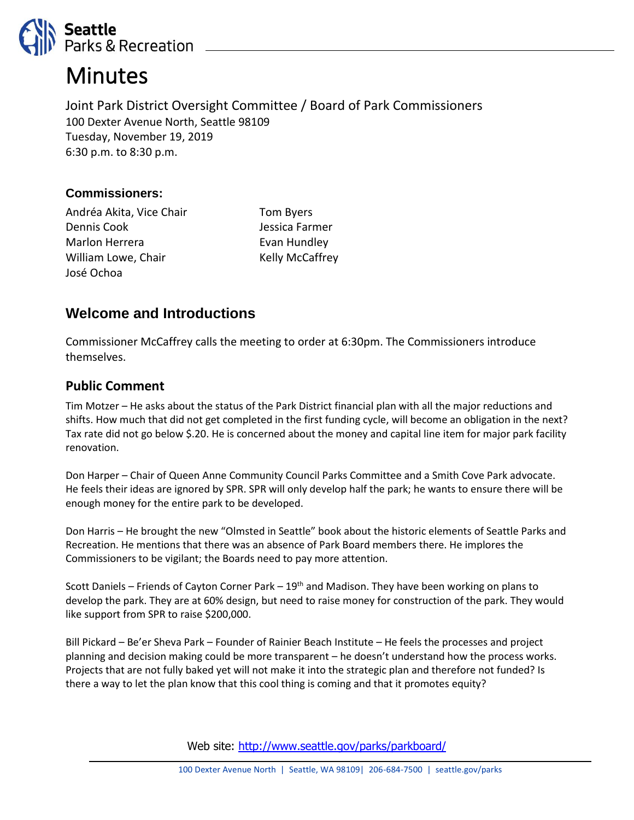

# **Minutes**

Joint Park District Oversight Committee / Board of Park Commissioners 100 Dexter Avenue North, Seattle 98109 Tuesday, November 19, 2019 6:30 p.m. to 8:30 p.m.

#### **Commissioners:**

Andréa Akita, Vice Chair Dennis Cook Marlon Herrera William Lowe, Chair José Ochoa

Tom Byers Jessica Farmer Evan Hundley Kelly McCaffrey

# **Welcome and Introductions**

Commissioner McCaffrey calls the meeting to order at 6:30pm. The Commissioners introduce themselves.

## **Public Comment**

Tim Motzer – He asks about the status of the Park District financial plan with all the major reductions and shifts. How much that did not get completed in the first funding cycle, will become an obligation in the next? Tax rate did not go below \$.20. He is concerned about the money and capital line item for major park facility renovation.

Don Harper – Chair of Queen Anne Community Council Parks Committee and a Smith Cove Park advocate. He feels their ideas are ignored by SPR. SPR will only develop half the park; he wants to ensure there will be enough money for the entire park to be developed.

Don Harris – He brought the new "Olmsted in Seattle" book about the historic elements of Seattle Parks and Recreation. He mentions that there was an absence of Park Board members there. He implores the Commissioners to be vigilant; the Boards need to pay more attention.

Scott Daniels – Friends of Cayton Corner Park –  $19<sup>th</sup>$  and Madison. They have been working on plans to develop the park. They are at 60% design, but need to raise money for construction of the park. They would like support from SPR to raise \$200,000.

Bill Pickard – Be'er Sheva Park – Founder of Rainier Beach Institute – He feels the processes and project planning and decision making could be more transparent – he doesn't understand how the process works. Projects that are not fully baked yet will not make it into the strategic plan and therefore not funded? Is there a way to let the plan know that this cool thing is coming and that it promotes equity?

Web site: <http://www.seattle.gov/parks/parkboard/>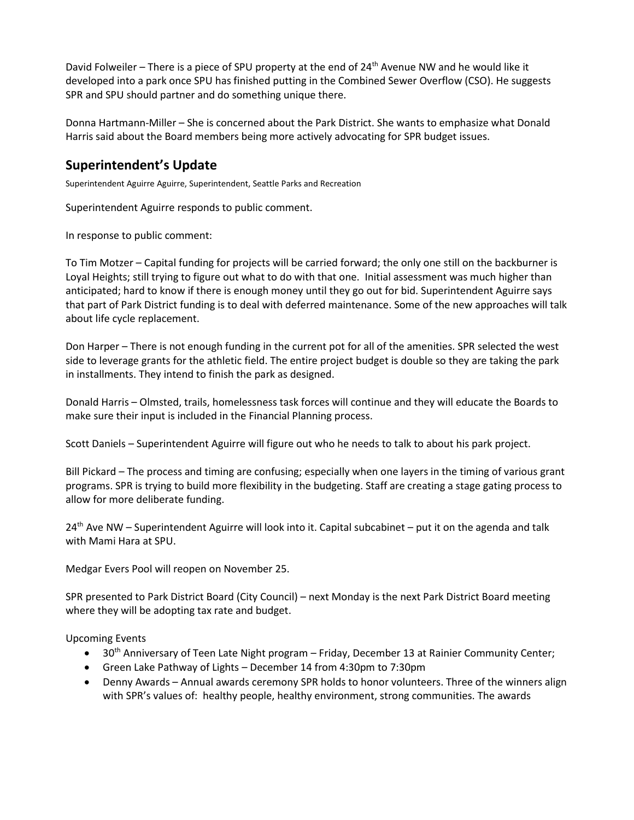David Folweiler – There is a piece of SPU property at the end of 24<sup>th</sup> Avenue NW and he would like it developed into a park once SPU has finished putting in the Combined Sewer Overflow (CSO). He suggests SPR and SPU should partner and do something unique there.

Donna Hartmann-Miller – She is concerned about the Park District. She wants to emphasize what Donald Harris said about the Board members being more actively advocating for SPR budget issues.

## **Superintendent's Update**

Superintendent Aguirre Aguirre, Superintendent, Seattle Parks and Recreation

Superintendent Aguirre responds to public comment.

In response to public comment:

To Tim Motzer – Capital funding for projects will be carried forward; the only one still on the backburner is Loyal Heights; still trying to figure out what to do with that one. Initial assessment was much higher than anticipated; hard to know if there is enough money until they go out for bid. Superintendent Aguirre says that part of Park District funding is to deal with deferred maintenance. Some of the new approaches will talk about life cycle replacement.

Don Harper – There is not enough funding in the current pot for all of the amenities. SPR selected the west side to leverage grants for the athletic field. The entire project budget is double so they are taking the park in installments. They intend to finish the park as designed.

Donald Harris – Olmsted, trails, homelessness task forces will continue and they will educate the Boards to make sure their input is included in the Financial Planning process.

Scott Daniels – Superintendent Aguirre will figure out who he needs to talk to about his park project.

Bill Pickard – The process and timing are confusing; especially when one layers in the timing of various grant programs. SPR is trying to build more flexibility in the budgeting. Staff are creating a stage gating process to allow for more deliberate funding.

 $24<sup>th</sup>$  Ave NW – Superintendent Aguirre will look into it. Capital subcabinet – put it on the agenda and talk with Mami Hara at SPU.

Medgar Evers Pool will reopen on November 25.

SPR presented to Park District Board (City Council) – next Monday is the next Park District Board meeting where they will be adopting tax rate and budget.

Upcoming Events

- 30<sup>th</sup> Anniversary of Teen Late Night program Friday, December 13 at Rainier Community Center;
- Green Lake Pathway of Lights December 14 from 4:30pm to 7:30pm
- Denny Awards Annual awards ceremony SPR holds to honor volunteers. Three of the winners align with SPR's values of: healthy people, healthy environment, strong communities. The awards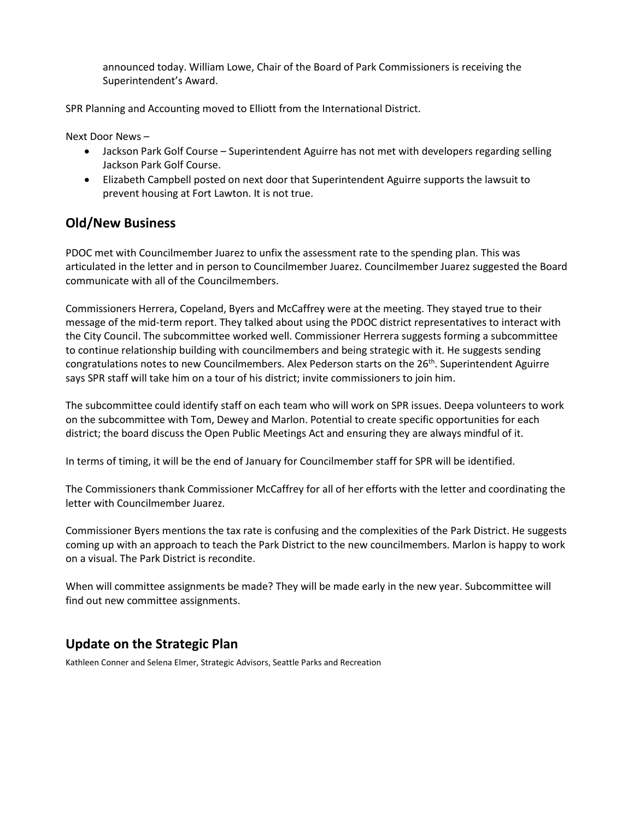announced today. William Lowe, Chair of the Board of Park Commissioners is receiving the Superintendent's Award.

SPR Planning and Accounting moved to Elliott from the International District.

Next Door News –

- Jackson Park Golf Course Superintendent Aguirre has not met with developers regarding selling Jackson Park Golf Course.
- Elizabeth Campbell posted on next door that Superintendent Aguirre supports the lawsuit to prevent housing at Fort Lawton. It is not true.

#### **Old/New Business**

PDOC met with Councilmember Juarez to unfix the assessment rate to the spending plan. This was articulated in the letter and in person to Councilmember Juarez. Councilmember Juarez suggested the Board communicate with all of the Councilmembers.

Commissioners Herrera, Copeland, Byers and McCaffrey were at the meeting. They stayed true to their message of the mid-term report. They talked about using the PDOC district representatives to interact with the City Council. The subcommittee worked well. Commissioner Herrera suggests forming a subcommittee to continue relationship building with councilmembers and being strategic with it. He suggests sending congratulations notes to new Councilmembers. Alex Pederson starts on the 26<sup>th</sup>. Superintendent Aguirre says SPR staff will take him on a tour of his district; invite commissioners to join him.

The subcommittee could identify staff on each team who will work on SPR issues. Deepa volunteers to work on the subcommittee with Tom, Dewey and Marlon. Potential to create specific opportunities for each district; the board discuss the Open Public Meetings Act and ensuring they are always mindful of it.

In terms of timing, it will be the end of January for Councilmember staff for SPR will be identified.

The Commissioners thank Commissioner McCaffrey for all of her efforts with the letter and coordinating the letter with Councilmember Juarez.

Commissioner Byers mentions the tax rate is confusing and the complexities of the Park District. He suggests coming up with an approach to teach the Park District to the new councilmembers. Marlon is happy to work on a visual. The Park District is recondite.

When will committee assignments be made? They will be made early in the new year. Subcommittee will find out new committee assignments.

# **Update on the Strategic Plan**

Kathleen Conner and Selena Elmer, Strategic Advisors, Seattle Parks and Recreation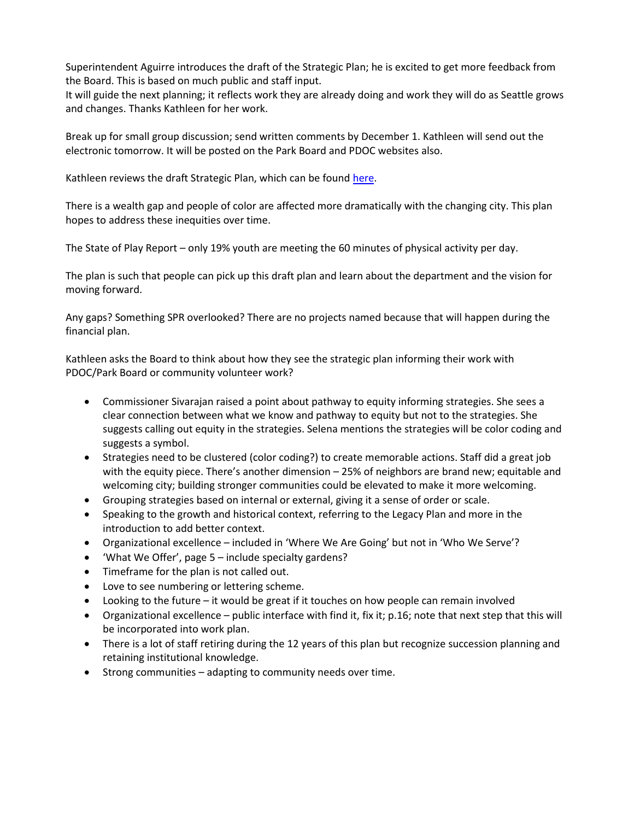Superintendent Aguirre introduces the draft of the Strategic Plan; he is excited to get more feedback from the Board. This is based on much public and staff input.

It will guide the next planning; it reflects work they are already doing and work they will do as Seattle grows and changes. Thanks Kathleen for her work.

Break up for small group discussion; send written comments by December 1. Kathleen will send out the electronic tomorrow. It will be posted on the Park Board and PDOC websites also.

Kathleen reviews the draft Strategic Plan, which can be foun[d here.](https://www.seattle.gov/Documents/Departments/ParksAndRecreation/PDOC/Agendas/Strategic%20Plan%20Review%20Draft%20_11.6.19.pdf)

There is a wealth gap and people of color are affected more dramatically with the changing city. This plan hopes to address these inequities over time.

The State of Play Report – only 19% youth are meeting the 60 minutes of physical activity per day.

The plan is such that people can pick up this draft plan and learn about the department and the vision for moving forward.

Any gaps? Something SPR overlooked? There are no projects named because that will happen during the financial plan.

Kathleen asks the Board to think about how they see the strategic plan informing their work with PDOC/Park Board or community volunteer work?

- Commissioner Sivarajan raised a point about pathway to equity informing strategies. She sees a clear connection between what we know and pathway to equity but not to the strategies. She suggests calling out equity in the strategies. Selena mentions the strategies will be color coding and suggests a symbol.
- Strategies need to be clustered (color coding?) to create memorable actions. Staff did a great job with the equity piece. There's another dimension – 25% of neighbors are brand new; equitable and welcoming city; building stronger communities could be elevated to make it more welcoming.
- Grouping strategies based on internal or external, giving it a sense of order or scale.
- Speaking to the growth and historical context, referring to the Legacy Plan and more in the introduction to add better context.
- Organizational excellence included in 'Where We Are Going' but not in 'Who We Serve'?
- 'What We Offer', page 5 include specialty gardens?
- Timeframe for the plan is not called out.
- Love to see numbering or lettering scheme.
- Looking to the future  $-$  it would be great if it touches on how people can remain involved
- Organizational excellence public interface with find it, fix it; p.16; note that next step that this will be incorporated into work plan.
- There is a lot of staff retiring during the 12 years of this plan but recognize succession planning and retaining institutional knowledge.
- Strong communities adapting to community needs over time.